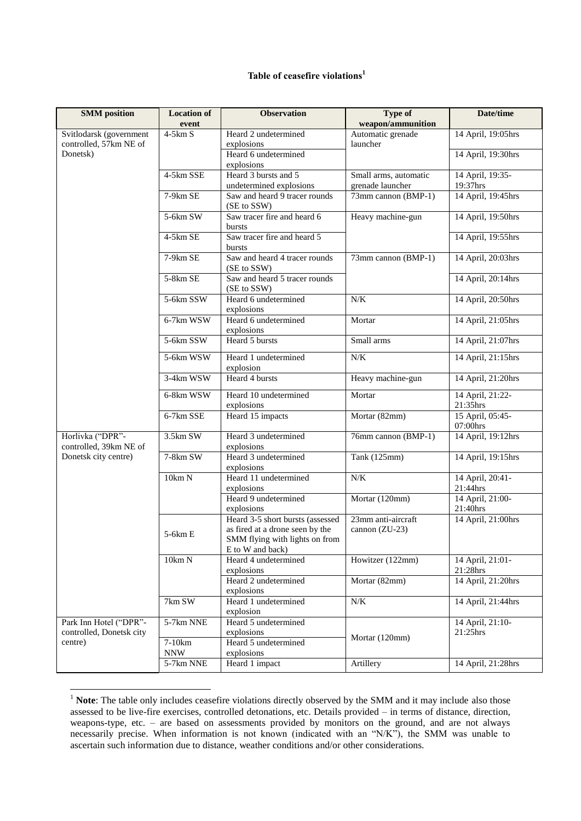## **Table of ceasefire violations<sup>1</sup>**

| <b>SMM</b> position                                           | <b>Location of</b><br>event | <b>Observation</b>                                                                                                        | <b>Type of</b><br>weapon/ammunition       | Date/time                                                   |
|---------------------------------------------------------------|-----------------------------|---------------------------------------------------------------------------------------------------------------------------|-------------------------------------------|-------------------------------------------------------------|
| Svitlodarsk (government<br>controlled, 57km NE of<br>Donetsk) | $4-5km S$                   | Heard 2 undetermined<br>explosions                                                                                        | Automatic grenade<br>launcher             | 14 April, 19:05hrs                                          |
|                                                               |                             | Heard 6 undetermined<br>explosions                                                                                        |                                           | 14 April, 19:30hrs                                          |
|                                                               | 4-5km SSE                   | Heard 3 bursts and 5<br>undetermined explosions                                                                           | Small arms, automatic<br>grenade launcher | 14 April, 19:35-<br>19:37hrs                                |
|                                                               | $7-9km$ SE                  | Saw and heard 9 tracer rounds<br>(SE to SSW)                                                                              | 73mm cannon (BMP-1)                       | 14 April, 19:45hrs                                          |
|                                                               | 5-6km SW                    | Saw tracer fire and heard 6<br>bursts                                                                                     | Heavy machine-gun                         | 14 April, 19:50hrs                                          |
|                                                               | 4-5km SE                    | Saw tracer fire and heard 5<br>bursts                                                                                     |                                           | 14 April, 19:55hrs                                          |
|                                                               | 7-9km SE                    | Saw and heard 4 tracer rounds<br>(SE to SSW)                                                                              | 73mm cannon (BMP-1)                       | 14 April, 20:03hrs                                          |
|                                                               | 5-8km SE                    | Saw and heard 5 tracer rounds<br>(SE to SSW)                                                                              |                                           | 14 April, 20:14hrs                                          |
|                                                               | 5-6km SSW                   | Heard 6 undetermined<br>explosions                                                                                        | N/K                                       | 14 April, 20:50hrs                                          |
|                                                               | 6-7km WSW                   | Heard 6 undetermined<br>explosions                                                                                        | Mortar                                    | 14 April, 21:05hrs                                          |
|                                                               | 5-6km SSW                   | Heard 5 bursts                                                                                                            | Small arms                                | 14 April, 21:07hrs                                          |
|                                                               | 5-6km WSW                   | Heard 1 undetermined<br>explosion                                                                                         | N/K                                       | 14 April, 21:15hrs                                          |
|                                                               | 3-4km WSW                   | Heard 4 bursts                                                                                                            | Heavy machine-gun                         | 14 April, 21:20hrs                                          |
|                                                               | 6-8km WSW                   | Heard 10 undetermined<br>explosions                                                                                       | Mortar                                    | 14 April, 21:22-<br>21:35hrs                                |
|                                                               | 6-7km SSE                   | Heard 15 impacts                                                                                                          | Mortar (82mm)                             | 15 April, 05:45-<br>07:00hrs                                |
| Horlivka ("DPR"-<br>controlled, 39km NE of                    | 3.5km SW                    | Heard 3 undetermined<br>explosions                                                                                        | 76mm cannon (BMP-1)                       | 14 April, 19:12hrs                                          |
| Donetsk city centre)                                          | 7-8km SW                    | Heard 3 undetermined<br>explosions                                                                                        | Tank (125mm)                              | 14 April, 19:15hrs                                          |
|                                                               | 10km N                      | Heard 11 undetermined<br>explosions                                                                                       | $N\!/\!K$                                 | 14 April, 20:41-<br>21:44hrs                                |
|                                                               |                             | Heard 9 undetermined<br>explosions                                                                                        | Mortar (120mm)                            | 14 April, 21:00-<br>$21:40\ensuremath{\mathrm{hrs}}\xspace$ |
|                                                               | $5-6km E$                   | Heard 3-5 short bursts (assessed<br>as fired at a drone seen by the<br>SMM flying with lights on from<br>E to W and back) | 23mm anti-aircraft<br>cannon (ZU-23)      | 14 April, 21:00hrs                                          |
|                                                               | 10km N                      | Heard 4 undetermined<br>explosions                                                                                        | Howitzer (122mm)                          | 14 April, 21:01-<br>21:28hrs                                |
|                                                               |                             | Heard 2 undetermined<br>explosions                                                                                        | Mortar (82mm)                             | 14 April, 21:20hrs                                          |
|                                                               | 7km SW                      | Heard 1 undetermined<br>explosion                                                                                         | N/K                                       | 14 April, 21:44hrs                                          |
| Park Inn Hotel ("DPR"-<br>controlled, Donetsk city            | 5-7km NNE                   | Heard 5 undetermined<br>explosions                                                                                        |                                           | 14 April, 21:10-<br>21:25hrs                                |
| centre)                                                       | 7-10km<br><b>NNW</b>        | Heard 5 undetermined<br>explosions                                                                                        | Mortar (120mm)                            |                                                             |
|                                                               | 5-7km NNE                   | Heard 1 impact                                                                                                            | Artillery                                 | 14 April, 21:28hrs                                          |

<sup>&</sup>lt;sup>1</sup> Note: The table only includes ceasefire violations directly observed by the SMM and it may include also those assessed to be live-fire exercises, controlled detonations, etc. Details provided – in terms of distance, direction, weapons-type, etc. – are based on assessments provided by monitors on the ground, and are not always necessarily precise. When information is not known (indicated with an "N/K"), the SMM was unable to ascertain such information due to distance, weather conditions and/or other considerations.

**.**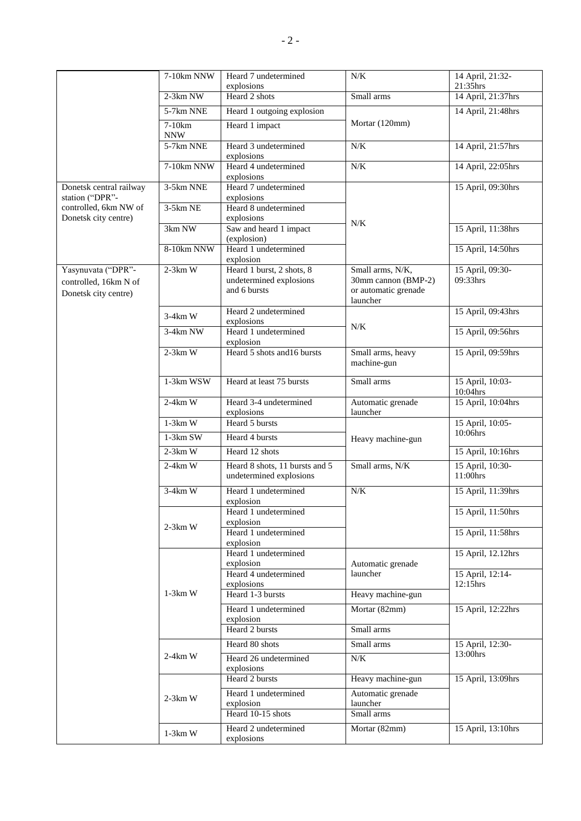|                                          | 7-10km NNW           | Heard 7 undetermined                                      | N/K                              | 14 April, 21:32-             |
|------------------------------------------|----------------------|-----------------------------------------------------------|----------------------------------|------------------------------|
|                                          |                      | explosions                                                |                                  | 21:35hrs                     |
|                                          | $2-3km$ NW           | Heard 2 shots                                             | Small arms                       | 14 April, 21:37hrs           |
|                                          | 5-7km NNE            | Heard 1 outgoing explosion                                |                                  | 14 April, 21:48hrs           |
|                                          | 7-10km<br><b>NNW</b> | Heard 1 impact                                            | Mortar (120mm)                   |                              |
|                                          | 5-7km NNE            | Heard 3 undetermined                                      | N/K                              | 14 April, 21:57hrs           |
|                                          | 7-10km NNW           | explosions<br>Heard 4 undetermined                        | N/K                              | 14 April, 22:05hrs           |
|                                          |                      | explosions                                                |                                  |                              |
| Donetsk central railway                  | 3-5km NNE            | Heard 7 undetermined                                      |                                  | 15 April, 09:30hrs           |
| station ("DPR"-<br>controlled, 6km NW of | $3-5km$ NE           | explosions                                                |                                  |                              |
| Donetsk city centre)                     |                      | Heard 8 undetermined<br>explosions                        |                                  |                              |
|                                          | 3km NW               | Saw and heard 1 impact                                    | N/K                              | 15 April, 11:38hrs           |
|                                          |                      | (explosion)                                               |                                  |                              |
|                                          | 8-10km NNW           | Heard 1 undetermined<br>explosion                         |                                  | 15 April, 14:50hrs           |
| Yasynuvata ("DPR"-                       | $2-3km$ W            | Heard 1 burst, 2 shots, 8                                 | Small arms, N/K,                 | 15 April, 09:30-             |
| controlled, 16km N of                    |                      | undetermined explosions                                   | 30mm cannon (BMP-2)              | 09:33hrs                     |
| Donetsk city centre)                     |                      | and 6 bursts                                              | or automatic grenade<br>launcher |                              |
|                                          |                      | Heard 2 undetermined                                      |                                  | 15 April, 09:43hrs           |
|                                          | $3-4km$ W            | explosions                                                | $N/K$                            |                              |
|                                          | $3-4km$ NW           | Heard 1 undetermined<br>explosion                         |                                  | 15 April, 09:56hrs           |
|                                          | $2-3km$ W            | Heard 5 shots and 16 bursts                               | Small arms, heavy<br>machine-gun | 15 April, 09:59hrs           |
|                                          |                      |                                                           |                                  |                              |
|                                          | 1-3km WSW            | Heard at least 75 bursts                                  | Small arms                       | 15 April, 10:03-<br>10:04hrs |
|                                          | $2-4km$ W            | Heard 3-4 undetermined                                    | Automatic grenade                | 15 April, 10:04hrs           |
|                                          | $1-3km$ W            | explosions<br>Heard 5 bursts                              | launcher                         | 15 April, 10:05-             |
|                                          |                      |                                                           |                                  | 10:06hrs                     |
|                                          | $1-3km$ SW           | Heard 4 bursts                                            | Heavy machine-gun                |                              |
|                                          | $2-3km$ W            | Heard 12 shots                                            |                                  | 15 April, 10:16hrs           |
|                                          | $2-4km$ W            | Heard 8 shots, 11 bursts and 5<br>undetermined explosions | Small arms, N/K                  | 15 April, 10:30-<br>11:00hrs |
|                                          | $3-4km$ W            | Heard 1 undetermined                                      | N/K                              | 15 April, 11:39hrs           |
|                                          |                      | explosion<br>Heard 1 undetermined                         |                                  | 15 April, 11:50hrs           |
|                                          |                      | explosion                                                 |                                  |                              |
|                                          | $2-3km$ W            | Heard 1 undetermined                                      |                                  | 15 April, 11:58hrs           |
|                                          |                      | explosion                                                 |                                  |                              |
|                                          |                      | Heard 1 undetermined                                      | Automatic grenade<br>launcher    | 15 April, 12.12hrs           |
|                                          |                      | explosion<br>Heard 4 undetermined                         |                                  | 15 April, 12:14-             |
|                                          |                      | explosions                                                |                                  | 12:15hrs                     |
|                                          | $1-3km$ W            | Heard 1-3 bursts                                          | Heavy machine-gun                |                              |
|                                          |                      | Heard 1 undetermined                                      | Mortar (82mm)                    | 15 April, 12:22hrs           |
|                                          |                      | explosion                                                 |                                  |                              |
|                                          |                      | Heard 2 bursts                                            | Small arms                       |                              |
|                                          |                      | Heard 80 shots                                            | Small arms                       | 15 April, 12:30-             |
|                                          | $2-4km$ W            | Heard 26 undetermined                                     | N/K                              | 13:00hrs                     |
|                                          |                      | explosions<br>Heard 2 bursts                              | Heavy machine-gun                | 15 April, 13:09hrs           |
|                                          |                      |                                                           |                                  |                              |
|                                          | $2-3km$ W            | Heard 1 undetermined<br>explosion                         | Automatic grenade<br>launcher    |                              |
|                                          |                      | Heard 10-15 shots                                         | Small arms                       |                              |
|                                          |                      | Heard 2 undetermined                                      | Mortar (82mm)                    | 15 April, 13:10hrs           |
|                                          | $1-3km$ W            | explosions                                                |                                  |                              |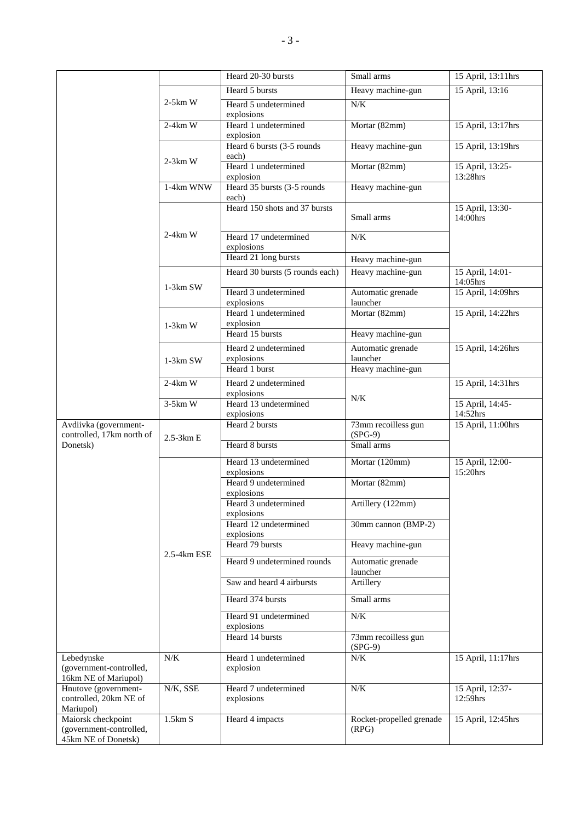|                                                                      |             | Heard 20-30 bursts                    | Small arms                        | 15 April, 13:11hrs           |
|----------------------------------------------------------------------|-------------|---------------------------------------|-----------------------------------|------------------------------|
|                                                                      |             | Heard 5 bursts                        | Heavy machine-gun                 | 15 April, 13:16              |
|                                                                      | $2-5km$ W   | Heard 5 undetermined<br>explosions    | N/K                               |                              |
|                                                                      | $2-4km$ W   | Heard 1 undetermined<br>explosion     | Mortar (82mm)                     | 15 April, 13:17hrs           |
|                                                                      | $2-3km$ W   | Heard 6 bursts (3-5 rounds<br>each)   | Heavy machine-gun                 | 15 April, 13:19hrs           |
|                                                                      |             | Heard 1 undetermined<br>explosion     | Mortar (82mm)                     | 15 April, 13:25-<br>13:28hrs |
|                                                                      | 1-4km WNW   | Heard 35 bursts (3-5 rounds)<br>each) | Heavy machine-gun                 |                              |
|                                                                      |             | Heard 150 shots and 37 bursts         | Small arms                        | 15 April, 13:30-<br>14:00hrs |
|                                                                      | $2-4km$ W   | Heard 17 undetermined<br>explosions   | $N/K$                             |                              |
|                                                                      |             | Heard 21 long bursts                  | Heavy machine-gun                 |                              |
|                                                                      | $1-3km$ SW  | Heard 30 bursts (5 rounds each)       | Heavy machine-gun                 | 15 April, 14:01-<br>14:05hrs |
|                                                                      |             | Heard 3 undetermined<br>explosions    | Automatic grenade<br>launcher     | 15 April, 14:09hrs           |
|                                                                      | $1-3km$ W   | Heard 1 undetermined<br>explosion     | Mortar (82mm)                     | 15 April, 14:22hrs           |
|                                                                      |             | Heard 15 bursts                       | Heavy machine-gun                 |                              |
|                                                                      | 1-3km SW    | Heard 2 undetermined<br>explosions    | Automatic grenade<br>launcher     | 15 April, 14:26hrs           |
|                                                                      |             | Heard 1 burst                         | Heavy machine-gun                 |                              |
|                                                                      | $2-4km$ W   | Heard 2 undetermined<br>explosions    |                                   | 15 April, 14:31hrs           |
|                                                                      | $3-5km$ W   | Heard 13 undetermined<br>explosions   | $N/K$                             | 15 April, 14:45-<br>14:52hrs |
| Avdiivka (government-<br>controlled, 17km north of                   |             | Heard 2 bursts                        | 73mm recoilless gun<br>$(SPG-9)$  | 15 April, 11:00hrs           |
| Donetsk)                                                             | 2.5-3km E   | Heard 8 bursts                        | Small arms                        |                              |
|                                                                      |             | Heard 13 undetermined<br>explosions   | Mortar (120mm)                    | 15 April, 12:00-<br>15:20hrs |
|                                                                      |             | Heard 9 undetermined<br>explosions    | Mortar (82mm)                     |                              |
|                                                                      | 2.5-4km ESE | Heard 3 undetermined<br>explosions    | Artillery (122mm)                 |                              |
|                                                                      |             | Heard 12 undetermined<br>explosions   | 30mm cannon (BMP-2)               |                              |
|                                                                      |             | Heard 79 bursts                       | Heavy machine-gun                 |                              |
|                                                                      |             | Heard 9 undetermined rounds           | Automatic grenade<br>launcher     |                              |
|                                                                      |             | Saw and heard 4 airbursts             | Artillery                         |                              |
|                                                                      |             | Heard 374 bursts                      | Small arms                        |                              |
|                                                                      |             | Heard 91 undetermined<br>explosions   | N/K                               |                              |
|                                                                      |             | Heard 14 bursts                       | 73mm recoilless gun<br>$(SPG-9)$  |                              |
| Lebedynske                                                           | N/K         | Heard 1 undetermined                  | N/K                               | 15 April, 11:17hrs           |
| (government-controlled,<br>16km NE of Mariupol)                      |             | explosion                             |                                   |                              |
| Hnutove (government-<br>controlled, 20km NE of<br>Mariupol)          | N/K, SSE    | Heard 7 undetermined<br>explosions    | $N\!/\!K$                         | 15 April, 12:37-<br>12:59hrs |
| Maiorsk checkpoint<br>(government-controlled,<br>45km NE of Donetsk) | 1.5km S     | Heard 4 impacts                       | Rocket-propelled grenade<br>(RPG) | 15 April, 12:45hrs           |